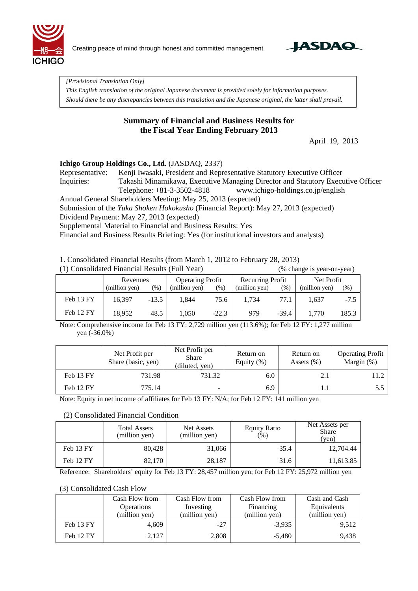

Creating peace of mind through honest and committed management.



*[Provisional Translation Only]* 

*This English translation of the original Japanese document is provided solely for information purposes. Should there be any discrepancies between this translation and the Japanese original, the latter shall prevail.*

## **Summary of Financial and Business Results for the Fiscal Year Ending February 2013**

April 19, 2013

#### **Ichigo Group Holdings Co., Ltd.** (JASDAQ, 2337)

Representative: Kenji Iwasaki, President and Representative Statutory Executive Officer Inquiries: Takashi Minamikawa, Executive Managing Director and Statutory Executive Officer Telephone: +81-3-3502-4818 www.ichigo-holdings.co.jp/english

Annual General Shareholders Meeting: May 25, 2013 (expected)

Submission of the *Yuka Shoken Hokokusho* (Financial Report): May 27, 2013 (expected) Dividend Payment: May 27, 2013 (expected)

Supplemental Material to Financial and Business Results: Yes

Financial and Business Results Briefing: Yes (for institutional investors and analysts)

1. Consolidated Financial Results (from March 1, 2012 to February 28, 2013)

(1) Consolidated Financial Results (Full Year) (% change is year-on-year)

|           | Revenues      |         | <b>Operating Profit</b> |         | Recurring Profit |         | Net Profit    |        |
|-----------|---------------|---------|-------------------------|---------|------------------|---------|---------------|--------|
|           | (million yen) | $(\%)$  | (million yen)           | $(\%)$  | (million yen)    | $(\% )$ | (million yen) | $(\%)$ |
| Feb 13 FY | 16.397        | $-13.5$ | 1,844                   | 75.6    | 1.734            | 77.1    | 1,637         | $-7.5$ |
| Feb 12 FY | 18,952        | 48.5    | 1,050                   | $-22.3$ | 979              | $-39.4$ | 1.770         | 185.3  |

Note: Comprehensive income for Feb 13 FY: 2,729 million yen (113.6%); for Feb 12 FY: 1,277 million yen (-36.0%)

|           | Net Profit per<br>Share (basic, yen) | Net Profit per<br><b>Share</b><br>(diluted, yen) | Return on<br>Equity $(\%)$ | Return on<br>Assets $(\% )$ | <b>Operating Profit</b><br>Margin $(\%)$ |
|-----------|--------------------------------------|--------------------------------------------------|----------------------------|-----------------------------|------------------------------------------|
| Feb 13 FY | 731.98                               | 731.32                                           | 6.0                        | 2.1                         | 11.2                                     |
| Feb 12 FY | 775.14                               | -                                                | 6.9                        | 1.1                         | 5.5                                      |

Note: Equity in net income of affiliates for Feb 13 FY: N/A; for Feb 12 FY: 141 million yen

#### (2) Consolidated Financial Condition

|           | <b>Total Assets</b><br>(million yen) | Net Assets<br>(million yen) | <b>Equity Ratio</b><br>(96) | Net Assets per<br><b>Share</b><br>(yen) |  |
|-----------|--------------------------------------|-----------------------------|-----------------------------|-----------------------------------------|--|
| Feb 13 FY | 80.428                               | 31,066                      | 35.4                        | 12.704.44                               |  |
| Feb 12 FY | 82.170                               | 28,187                      | 31.6                        | 11,613.85                               |  |

Reference: Shareholders' equity for Feb 13 FY: 28,457 million yen; for Feb 12 FY: 25,972 million yen

#### (3) Consolidated Cash Flow

|           | Cash Flow from    | Cash Flow from | Cash Flow from | Cash and Cash |
|-----------|-------------------|----------------|----------------|---------------|
|           | <b>Operations</b> | Investing      | Financing      | Equivalents   |
|           | (million yen)     | (million yen)  | (million yen)  | (million yen) |
| Feb 13 FY | 4,609             | -27            | $-3,935$       | 9,512         |
| Feb 12 FY | 2,127             | 2,808          | $-5,480$       | 9.438         |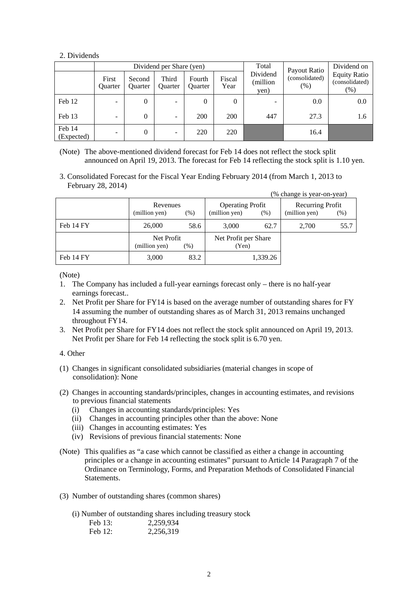#### 2. Dividends

|                      |                          |                          | Dividend per Share (yen) |                          | Total          | Dividend on                  |                                        |                                                 |
|----------------------|--------------------------|--------------------------|--------------------------|--------------------------|----------------|------------------------------|----------------------------------------|-------------------------------------------------|
|                      | First<br><b>Ouarter</b>  | Second<br><b>Ouarter</b> | Third<br>Ouarter         | Fourth<br><b>Ouarter</b> | Fiscal<br>Year | Dividend<br>(million<br>yen) | Payout Ratio<br>(consolidated)<br>(% ) | <b>Equity Ratio</b><br>(consolidated)<br>$(\%)$ |
| Feb 12               | ۰                        | $\theta$                 | $\overline{\phantom{a}}$ | $\theta$                 | $\overline{0}$ |                              | 0.0                                    | 0.0                                             |
| Feb 13               | ۰                        | 0                        | $\overline{\phantom{0}}$ | 200                      | 200            | 447                          | 27.3                                   | 1.6                                             |
| Feb 14<br>(Expected) | $\overline{\phantom{0}}$ | 0                        | $\qquad \qquad$          | 220                      | 220            |                              | 16.4                                   |                                                 |

(Note) The above-mentioned dividend forecast for Feb 14 does not reflect the stock split announced on April 19, 2013. The forecast for Feb 14 reflecting the stock split is 1.10 yen.

3. Consolidated Forecast for the Fiscal Year Ending February 2014 (from March 1, 2013 to February 28, 2014)

| (% change is year-on-year) |
|----------------------------|
|----------------------------|

|           | Revenues<br>(million yen)<br>$(\%)$ |        | <b>Operating Profit</b><br>(million yen)<br>(%) |      | Recurring Profit<br>(million yen)<br>(%) |      |
|-----------|-------------------------------------|--------|-------------------------------------------------|------|------------------------------------------|------|
| Feb 14 FY | 26,000                              | 58.6   | 3,000                                           | 62.7 | 2,700                                    | 55.7 |
|           | Net Profit<br>(million yen)         | $(\%)$ | Net Profit per Share<br>(Yen)                   |      |                                          |      |
| Feb 14 FY | 3,000                               | 83.2   | 1,339.26                                        |      |                                          |      |

(Note)

- 1. The Company has included a full-year earnings forecast only there is no half-year earnings forecast..
- 2. Net Profit per Share for FY14 is based on the average number of outstanding shares for FY 14 assuming the number of outstanding shares as of March 31, 2013 remains unchanged throughout FY14.
- 3. Net Profit per Share for FY14 does not reflect the stock split announced on April 19, 2013. Net Profit per Share for Feb 14 reflecting the stock split is 6.70 yen.

4. Other

- (1) Changes in significant consolidated subsidiaries (material changes in scope of consolidation): None
- (2) Changes in accounting standards/principles, changes in accounting estimates, and revisions to previous financial statements
	- (i) Changes in accounting standards/principles: Yes
	- (ii) Changes in accounting principles other than the above: None
	- (iii) Changes in accounting estimates: Yes
	- (iv) Revisions of previous financial statements: None
- (Note) This qualifies as "a case which cannot be classified as either a change in accounting principles or a change in accounting estimates" pursuant to Article 14 Paragraph 7 of the Ordinance on Terminology, Forms, and Preparation Methods of Consolidated Financial Statements.
- (3) Number of outstanding shares (common shares)

(i) Number of outstanding shares including treasury stock

| Feb 13:    | 2,259,934 |
|------------|-----------|
| Feb $12$ : | 2,256,319 |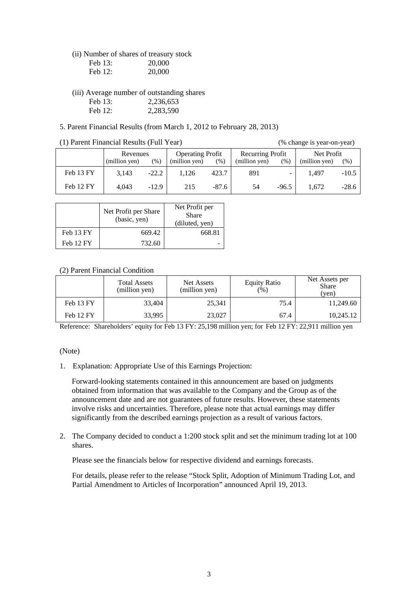(ii) Number of shares of treasury stock

| Feb 13:    | 20,000 |
|------------|--------|
| Feb $12$ : | 20,000 |

(iii) Average number of outstanding shares

| Feb $13:$  | 2,236,653 |
|------------|-----------|
| Feb $12$ : | 2,283,590 |

### 5. Parent Financial Results (from March 1, 2012 to February 28, 2013)

(1) Parent Financial Results (Full Year) (% change is year-on-year)

|           | Revenues      |         | <b>Operating Profit</b> |         | Recurring Profit |         | Net Profit    |         |
|-----------|---------------|---------|-------------------------|---------|------------------|---------|---------------|---------|
|           | (million yen) | (%)     | (million yen)           | (% )    | (million yen)    | (%)     | (million yen) | $(\%)$  |
| Feb 13 FY | 3.143         | $-22.2$ | 1.126                   | 423.7   | 891              |         | 1.497         | $-10.5$ |
| Feb 12 FY | 4.043         | $-12.9$ | 215                     | $-87.6$ | 54               | $-96.5$ | 1.672         | $-28.6$ |

|           | Net Profit per Share<br>(basic, yen) | Net Profit per<br>Share<br>(diluted, yen) |
|-----------|--------------------------------------|-------------------------------------------|
| Feb 13 FY | 669.42                               | 668.81                                    |
| Feb 12 FY | 732.60                               |                                           |

### (2) Parent Financial Condition

|           | <b>Total Assets</b><br>(million yen) | Net Assets<br>(million yen) | <b>Equity Ratio</b><br>(% ) | Net Assets per<br><b>Share</b><br>(yen) |
|-----------|--------------------------------------|-----------------------------|-----------------------------|-----------------------------------------|
| Feb 13 FY | 33,404                               | 25,341                      | 75.4                        | 11,249.60                               |
| Feb 12 FY | 33.995                               | 23,027                      | 67.4                        | 10,245.12                               |

Reference: Shareholders' equity for Feb 13 FY: 25,198 million yen; for Feb 12 FY: 22,911 million yen

#### (Note)

1. Explanation: Appropriate Use of this Earnings Projection:

Forward-looking statements contained in this announcement are based on judgments obtained from information that was available to the Company and the Group as of the announcement date and are not guarantees of future results. However, these statements involve risks and uncertainties. Therefore, please note that actual earnings may differ significantly from the described earnings projection as a result of various factors.

2. The Company decided to conduct a 1:200 stock split and set the minimum trading lot at 100 shares.

Please see the financials below for respective dividend and earnings forecasts.

For details, please refer to the release "Stock Split, Adoption of Minimum Trading Lot, and Partial Amendment to Articles of Incorporation" announced April 19, 2013.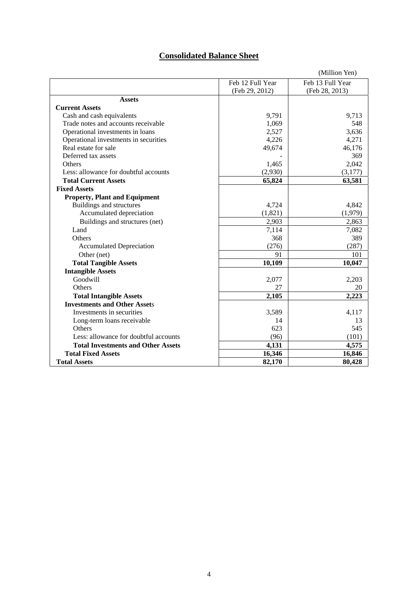# **Consolidated Balance Sheet**

|                                           |                  | (Million Yen)    |
|-------------------------------------------|------------------|------------------|
|                                           | Feb 12 Full Year | Feb 13 Full Year |
|                                           | (Feb 29, 2012)   | (Feb 28, 2013)   |
| <b>Assets</b>                             |                  |                  |
| <b>Current Assets</b>                     |                  |                  |
| Cash and cash equivalents                 | 9,791            | 9,713            |
| Trade notes and accounts receivable       | 1,069            | 548              |
| Operational investments in loans          | 2,527            | 3,636            |
| Operational investments in securities     | 4,226            | 4,271            |
| Real estate for sale                      | 49,674           | 46,176           |
| Deferred tax assets                       |                  | 369              |
| Others                                    | 1,465            | 2,042            |
| Less: allowance for doubtful accounts     | (2,930)          | (3,177)          |
| <b>Total Current Assets</b>               | 65,824           | 63,581           |
| <b>Fixed Assets</b>                       |                  |                  |
| <b>Property, Plant and Equipment</b>      |                  |                  |
| Buildings and structures                  | 4,724            | 4,842            |
| Accumulated depreciation                  | (1,821)          | (1,979)          |
| Buildings and structures (net)            | 2.903            | 2.863            |
| Land                                      | 7,114            | 7,082            |
| Others                                    | 368              | 389              |
| <b>Accumulated Depreciation</b>           | (276)            | (287)            |
| Other (net)                               | 91               | 101              |
| <b>Total Tangible Assets</b>              | 10,109           | 10,047           |
| <b>Intangible Assets</b>                  |                  |                  |
| Goodwill                                  | 2,077            | 2,203            |
| Others                                    | 27               | 20               |
| <b>Total Intangible Assets</b>            | 2,105            | 2,223            |
| <b>Investments and Other Assets</b>       |                  |                  |
| Investments in securities                 | 3,589            | 4,117            |
| Long-term loans receivable                | 14               | 13               |
| <b>Others</b>                             | 623              | 545              |
| Less: allowance for doubtful accounts     | (96)             | (101)            |
| <b>Total Investments and Other Assets</b> | 4,131            | 4,575            |
| <b>Total Fixed Assets</b>                 | 16,346           | 16,846           |
| <b>Total Assets</b>                       | 82,170           | 80,428           |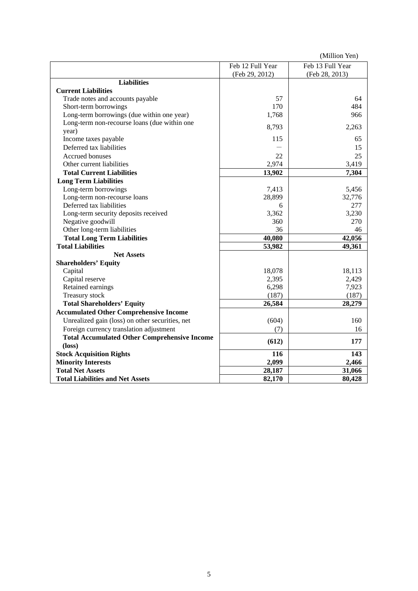|                                                     |                                    | (Million Yen)                      |
|-----------------------------------------------------|------------------------------------|------------------------------------|
|                                                     | Feb 12 Full Year<br>(Feb 29, 2012) | Feb 13 Full Year<br>(Feb 28, 2013) |
| <b>Liabilities</b>                                  |                                    |                                    |
| <b>Current Liabilities</b>                          |                                    |                                    |
| Trade notes and accounts payable                    | 57                                 | 64                                 |
| Short-term borrowings                               | 170                                | 484                                |
| Long-term borrowings (due within one year)          | 1,768                              | 966                                |
| Long-term non-recourse loans (due within one        | 8,793                              |                                    |
| year)                                               |                                    | 2,263                              |
| Income taxes payable                                | 115                                | 65                                 |
| Deferred tax liabilities                            |                                    | 15                                 |
| Accrued bonuses                                     | 22                                 | 25                                 |
| Other current liabilities                           | 2,974                              | 3,419                              |
| <b>Total Current Liabilities</b>                    | 13,902                             | 7,304                              |
| <b>Long Term Liabilities</b>                        |                                    |                                    |
| Long-term borrowings                                | 7,413                              | 5,456                              |
| Long-term non-recourse loans                        | 28,899                             | 32,776                             |
| Deferred tax liabilities                            | 6                                  | 277                                |
| Long-term security deposits received                | 3,362                              | 3,230                              |
| Negative goodwill                                   | 360                                | 270                                |
| Other long-term liabilities                         | 36                                 | 46                                 |
| <b>Total Long Term Liabilities</b>                  | 40,080                             | 42,056                             |
| <b>Total Liabilities</b>                            | 53,982                             | 49,361                             |
| <b>Net Assets</b>                                   |                                    |                                    |
| <b>Shareholders' Equity</b>                         |                                    |                                    |
| Capital                                             | 18,078                             | 18,113                             |
| Capital reserve                                     | 2,395                              | 2,429                              |
| Retained earnings                                   | 6,298                              | 7,923                              |
| Treasury stock                                      | (187)                              | (187)                              |
| <b>Total Shareholders' Equity</b>                   | 26,584                             | 28,279                             |
| <b>Accumulated Other Comprehensive Income</b>       |                                    |                                    |
| Unrealized gain (loss) on other securities, net     | (604)                              | 160                                |
| Foreign currency translation adjustment             | (7)                                | 16                                 |
| <b>Total Accumulated Other Comprehensive Income</b> | (612)                              | 177                                |
| $(\text{loss})$                                     |                                    |                                    |
| <b>Stock Acquisition Rights</b>                     | 116                                | 143                                |
| <b>Minority Interests</b>                           | 2,099                              | 2,466                              |
| <b>Total Net Assets</b>                             | 28,187                             | 31,066                             |
| <b>Total Liabilities and Net Assets</b>             | 82,170                             | 80,428                             |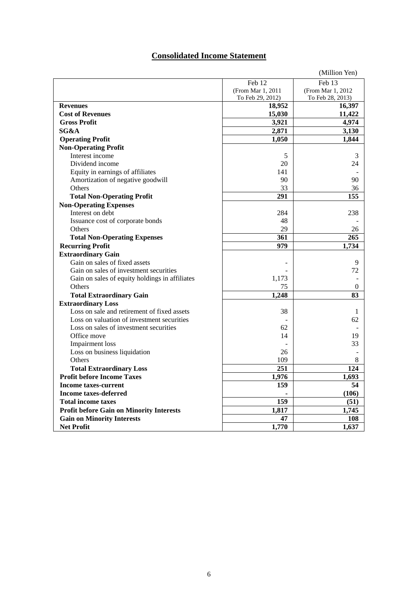# **Consolidated Income Statement**

|                                                 |                   | (Million Yen)     |
|-------------------------------------------------|-------------------|-------------------|
|                                                 | Feb 12            | Feb 13            |
|                                                 | (From Mar 1, 2011 | (From Mar 1, 2012 |
|                                                 | To Feb 29, 2012)  | To Feb 28, 2013)  |
| <b>Revenues</b>                                 | 18,952            | 16,397            |
| <b>Cost of Revenues</b>                         | 15,030            | 11,422            |
| <b>Gross Profit</b>                             | 3,921             | 4,974             |
| SG&A                                            | 2,871             | 3,130             |
| <b>Operating Profit</b>                         | 1,050             | 1,844             |
| <b>Non-Operating Profit</b>                     |                   |                   |
| Interest income                                 | 5                 | 3                 |
| Dividend income                                 | 20                | 24                |
| Equity in earnings of affiliates                | 141               |                   |
| Amortization of negative goodwill               | 90                | 90                |
| Others                                          | 33                | 36                |
| <b>Total Non-Operating Profit</b>               | 291               | 155               |
| <b>Non-Operating Expenses</b>                   |                   |                   |
| Interest on debt                                | 284               | 238               |
| Issuance cost of corporate bonds                | 48                |                   |
| Others                                          | 29                | 26                |
| <b>Total Non-Operating Expenses</b>             | 361               | 265               |
| <b>Recurring Profit</b>                         | 979               | 1,734             |
| <b>Extraordinary Gain</b>                       |                   |                   |
| Gain on sales of fixed assets                   |                   | 9                 |
| Gain on sales of investment securities          |                   | 72                |
| Gain on sales of equity holdings in affiliates  | 1,173             |                   |
| Others                                          | 75                | $\overline{0}$    |
| <b>Total Extraordinary Gain</b>                 | 1,248             | 83                |
| <b>Extraordinary Loss</b>                       |                   |                   |
| Loss on sale and retirement of fixed assets     | 38                | 1                 |
| Loss on valuation of investment securities      |                   | 62                |
| Loss on sales of investment securities          | 62                |                   |
| Office move                                     | 14                | 19                |
| Impairment loss                                 |                   | 33                |
| Loss on business liquidation                    | 26                |                   |
| Others                                          | 109               | 8                 |
| <b>Total Extraordinary Loss</b>                 | $\overline{251}$  | 124               |
| <b>Profit before Income Taxes</b>               | 1,976             | 1,693             |
| <b>Income taxes-current</b>                     | 159               | 54                |
| <b>Income taxes-deferred</b>                    |                   | (106)             |
| <b>Total income taxes</b>                       | 159               | (51)              |
| <b>Profit before Gain on Minority Interests</b> | 1,817             | 1,745             |
| <b>Gain on Minority Interests</b>               | 47                | 108               |
| <b>Net Profit</b>                               | 1,770             | 1,637             |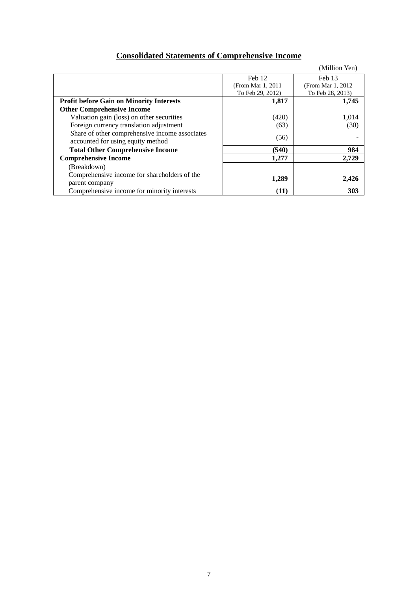# **Consolidated Statements of Comprehensive Income**

|                                                                                     |                    | (Million Yen)      |
|-------------------------------------------------------------------------------------|--------------------|--------------------|
|                                                                                     | Feb 12             | Feb 13             |
|                                                                                     | (From Mar 1, 2011) | (From Mar 1, 2012) |
|                                                                                     | To Feb 29, 2012)   | To Feb 28, 2013)   |
| <b>Profit before Gain on Minority Interests</b>                                     | 1,817              | 1,745              |
| <b>Other Comprehensive Income</b>                                                   |                    |                    |
| Valuation gain (loss) on other securities                                           | (420)              | 1,014              |
| Foreign currency translation adjustment                                             | (63)               | (30)               |
| Share of other comprehensive income associates<br>accounted for using equity method | (56)               |                    |
| <b>Total Other Comprehensive Income</b>                                             | (540)              | 984                |
| <b>Comprehensive Income</b>                                                         | 1,277              | 2,729              |
| (Breakdown)                                                                         |                    |                    |
| Comprehensive income for shareholders of the                                        | 1,289              | 2,426              |
| parent company                                                                      |                    |                    |
| Comprehensive income for minority interests                                         | (11)               | 303                |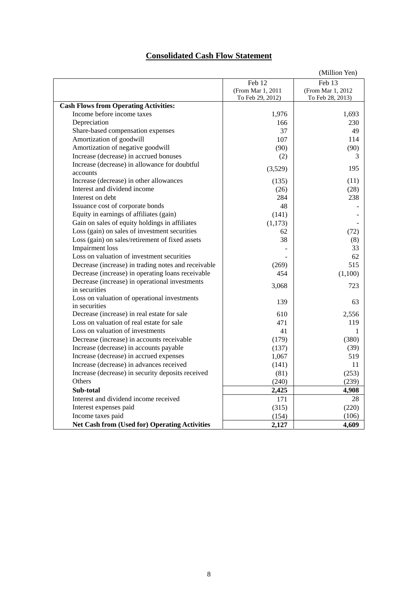# **Consolidated Cash Flow Statement**

|                                                      |                   | (Million Yen)     |
|------------------------------------------------------|-------------------|-------------------|
|                                                      | Feb 12            | Feb 13            |
|                                                      | (From Mar 1, 2011 | (From Mar 1, 2012 |
|                                                      | To Feb 29, 2012)  | To Feb 28, 2013)  |
| <b>Cash Flows from Operating Activities:</b>         |                   |                   |
| Income before income taxes                           | 1,976             | 1,693             |
| Depreciation                                         | 166               | 230               |
| Share-based compensation expenses                    | 37                | 49                |
| Amortization of goodwill                             | 107               | 114               |
| Amortization of negative goodwill                    | (90)              | (90)              |
| Increase (decrease) in accrued bonuses               | (2)               | 3                 |
| Increase (decrease) in allowance for doubtful        |                   | 195               |
| accounts                                             | (3,529)           |                   |
| Increase (decrease) in other allowances              | (135)             | (11)              |
| Interest and dividend income                         | (26)              | (28)              |
| Interest on debt                                     | 284               | 238               |
| Issuance cost of corporate bonds                     | 48                |                   |
| Equity in earnings of affiliates (gain)              | (141)             |                   |
| Gain on sales of equity holdings in affiliates       | (1,173)           |                   |
| Loss (gain) on sales of investment securities        | 62                | (72)              |
| Loss (gain) on sales/retirement of fixed assets      | 38                | (8)               |
| <b>Impairment</b> loss                               |                   | 33                |
| Loss on valuation of investment securities           |                   | 62                |
| Decrease (increase) in trading notes and receivable  | (269)             | 515               |
| Decrease (increase) in operating loans receivable    | 454               | (1,100)           |
| Decrease (increase) in operational investments       |                   |                   |
| in securities                                        | 3,068             | 723               |
| Loss on valuation of operational investments         |                   |                   |
| in securities                                        | 139               | 63                |
| Decrease (increase) in real estate for sale          | 610               | 2,556             |
| Loss on valuation of real estate for sale            | 471               | 119               |
| Loss on valuation of investments                     | 41                | 1                 |
| Decrease (increase) in accounts receivable           | (179)             | (380)             |
| Increase (decrease) in accounts payable              | (137)             | (39)              |
| Increase (decrease) in accrued expenses              | 1,067             | 519               |
| Increase (decrease) in advances received             | (141)             | 11                |
| Increase (decrease) in security deposits received    | (81)              | (253)             |
| Others                                               | (240)             | (239)             |
| Sub-total                                            | 2,425             | 4,908             |
| Interest and dividend income received                | 171               | 28                |
| Interest expenses paid                               | (315)             | (220)             |
| Income taxes paid                                    | (154)             | (106)             |
| <b>Net Cash from (Used for) Operating Activities</b> | 2,127             | 4,609             |
|                                                      |                   |                   |